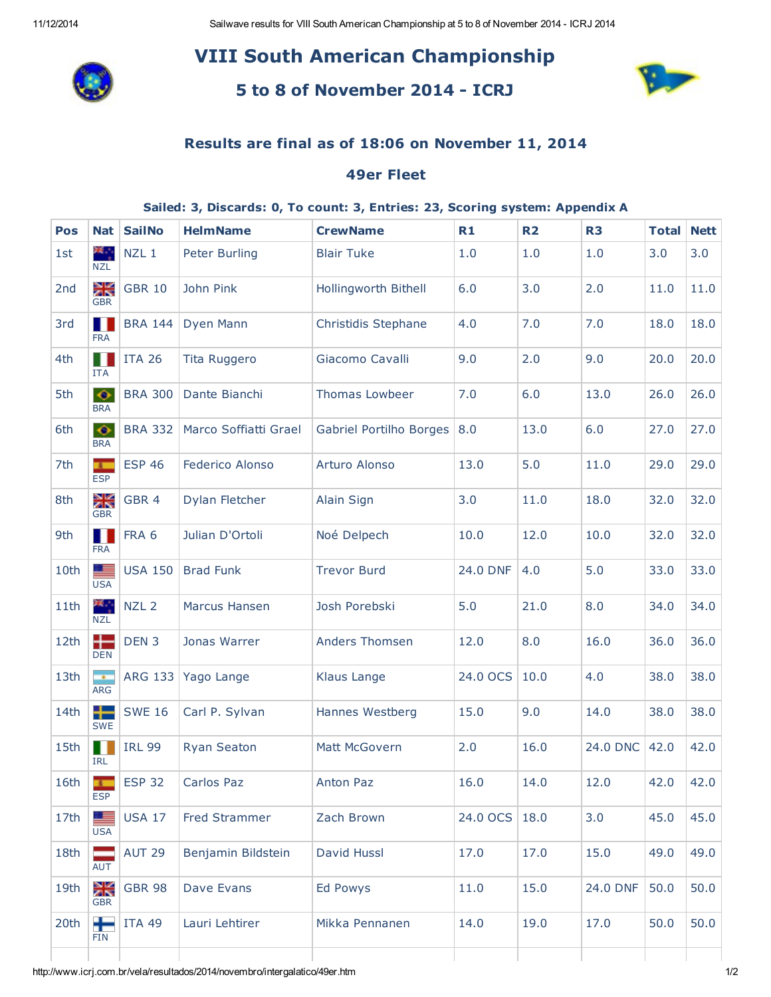11/12/2014 Sailwave results for VIII South American Championship at 5 to 8 of November 2014 - ICRJ 2014

# VIII South American Championship



## 5 to 8 of November 2014 - ICRJ



### Results are final as of 18:06 on November 11, 2014

#### 49er Fleet

#### Sailed: 3, Discards: 0, To count: 3, Entries: 23, Scoring system: Appendix A

| Pos  | <b>Nat</b>                 | <b>SailNo</b>    | <b>HelmName</b>       | <b>CrewName</b>         | R1            | <b>R2</b> | R <sub>3</sub> | <b>Total</b> | <b>Nett</b> |
|------|----------------------------|------------------|-----------------------|-------------------------|---------------|-----------|----------------|--------------|-------------|
| 1st  | ж.,<br><b>NZL</b>          | NZL <sub>1</sub> | Peter Burling         | <b>Blair Tuke</b>       | 1.0           | 1.0       | 1.0            | 3.0          | 3.0         |
| 2nd  | Ж<br><b>GBR</b>            | <b>GBR 10</b>    | John Pink             | Hollingworth Bithell    | 6.0           | 3.0       | 2.0            | 11.0         | 11.0        |
| 3rd  | П<br><b>FRA</b>            | <b>BRA 144</b>   | Dyen Mann             | Christidis Stephane     | 4.0           | 7.0       | 7.0            | 18.0         | 18.0        |
| 4th  | <b>ITA</b>                 | <b>ITA 26</b>    | Tita Ruggero          | Giacomo Cavalli         | 9.0           | 2.0       | 9.0            | 20.0         | 20.0        |
| 5th  | $\bullet$<br><b>BRA</b>    | <b>BRA 300</b>   | Dante Bianchi         | Thomas Lowbeer          | 7.0           | 6.0       | 13.0           | 26.0         | 26.0        |
| 6th  | $\bullet$<br><b>BRA</b>    | <b>BRA 332</b>   | Marco Soffiatti Grael | Gabriel Portilho Borges | 8.0           | 13.0      | 6.0            | 27.0         | 27.0        |
| 7th  | $\mathbf{r}$<br><b>ESP</b> | <b>ESP 46</b>    | Federico Alonso       | Arturo Alonso           | 13.0          | 5.0       | 11.0           | 29.0         | 29.0        |
| 8th  | λK<br><b>GBR</b>           | GBR 4            | Dylan Fletcher        | Alain Sign              | 3.0           | 11.0      | 18.0           | 32.0         | 32.0        |
| 9th  | П<br><b>FRA</b>            | FRA 6            | Julian D'Ortoli       | Noé Delpech             | 10.0          | 12.0      | 10.0           | 32.0         | 32.0        |
| 10th | 三<br><b>USA</b>            | <b>USA 150</b>   | <b>Brad Funk</b>      | <b>Trevor Burd</b>      | 24.0 DNF      | 4.0       | 5.0            | 33.0         | 33.0        |
| 11th | 米尔<br><b>NZL</b>           | NZL <sub>2</sub> | Marcus Hansen         | Josh Porebski           | 5.0           | 21.0      | 8.0            | 34.0         | 34.0        |
| 12th | 42<br><b>DEN</b>           | DEN <sub>3</sub> | Jonas Warrer          | <b>Anders Thomsen</b>   | 12.0          | 8.0       | 16.0           | 36.0         | 36.0        |
| 13th | m.<br>ARG                  | <b>ARG 133</b>   | Yago Lange            | Klaus Lange             | 24.0 OCS      | 10.0      | 4.0            | 38.0         | 38.0        |
| 14th | ╄<br><b>SWE</b>            | <b>SWE 16</b>    | Carl P. Sylvan        | Hannes Westberg         | 15.0          | 9.0       | 14.0           | 38.0         | 38.0        |
| 15th | H<br><b>IRL</b>            | <b>IRL 99</b>    | <b>Ryan Seaton</b>    | Matt McGovern           | 2.0           | 16.0      | 24.0 DNC       | 42.0         | 42.0        |
| 16th | <b>ESP</b>                 | <b>ESP 32</b>    | Carlos Paz            | Anton Paz               | 16.0          | 14.0      | 12.0           | 42.0         | 42.0        |
| 17th | <b>USA</b>                 | <b>USA 17</b>    | <b>Fred Strammer</b>  | Zach Brown              | 24.0 OCS 18.0 |           | 3.0            | 45.0         | 45.0        |
| 18th | AUT                        | <b>AUT 29</b>    | Benjamin Bildstein    | David Hussl             | 17.0          | 17.0      | 15.0           | 49.0         | 49.0        |
| 19th | ăŘ<br><b>GBR</b>           | <b>GBR 98</b>    | Dave Evans            | <b>Ed Powys</b>         | 11.0          | 15.0      | 24.0 DNF       | 50.0         | 50.0        |
| 20th | <b>FIN</b>                 | <b>ITA 49</b>    | Lauri Lehtirer        | Mikka Pennanen          | 14.0          | 19.0      | 17.0           | 50.0         | 50.0        |
|      |                            |                  |                       |                         |               |           |                |              |             |

http://www.icrj.com.br/vela/resultados/2014/novembro/intergalatico/49er.htm 1/2